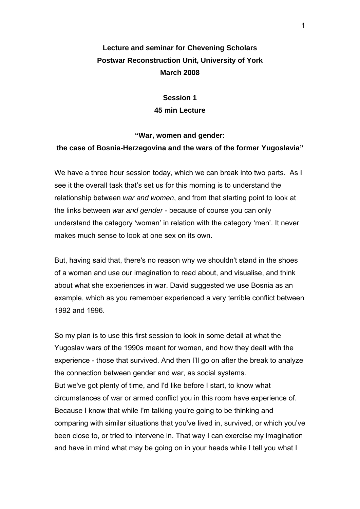## **Lecture and seminar for Chevening Scholars Postwar Reconstruction Unit, University of York March 2008**

**Session 1 45 min Lecture** 

# **"War, women and gender: the case of Bosnia-Herzegovina and the wars of the former Yugoslavia"**

We have a three hour session today, which we can break into two parts. As I see it the overall task that's set us for this morning is to understand the relationship between *war and women*, and from that starting point to look at the links between *war and gender* - because of course you can only understand the category 'woman' in relation with the category 'men'. It never makes much sense to look at one sex on its own.

But, having said that, there's no reason why we shouldn't stand in the shoes of a woman and use our imagination to read about, and visualise, and think about what she experiences in war. David suggested we use Bosnia as an example, which as you remember experienced a very terrible conflict between 1992 and 1996.

So my plan is to use this first session to look in some detail at what the Yugoslav wars of the 1990s meant for women, and how they dealt with the experience - those that survived. And then I'll go on after the break to analyze the connection between gender and war, as social systems. But we've got plenty of time, and I'd like before I start, to know what circumstances of war or armed conflict you in this room have experience of. Because I know that while I'm talking you're going to be thinking and comparing with similar situations that you've lived in, survived, or which you've been close to, or tried to intervene in. That way I can exercise my imagination and have in mind what may be going on in your heads while I tell you what I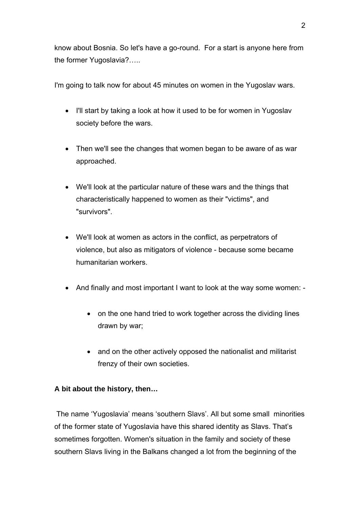know about Bosnia. So let's have a go-round. For a start is anyone here from the former Yugoslavia?…..

I'm going to talk now for about 45 minutes on women in the Yugoslav wars.

- I'll start by taking a look at how it used to be for women in Yugoslav society before the wars.
- Then we'll see the changes that women began to be aware of as war approached.
- We'll look at the particular nature of these wars and the things that characteristically happened to women as their "victims", and "survivors".
- We'll look at women as actors in the conflict, as perpetrators of violence, but also as mitigators of violence - because some became humanitarian workers.
- And finally and most important I want to look at the way some women:
	- on the one hand tried to work together across the dividing lines drawn by war;
	- and on the other actively opposed the nationalist and militarist frenzy of their own societies.

### **A bit about the history, then…**

 The name 'Yugoslavia' means 'southern Slavs'. All but some small minorities of the former state of Yugoslavia have this shared identity as Slavs. That's sometimes forgotten. Women's situation in the family and society of these southern Slavs living in the Balkans changed a lot from the beginning of the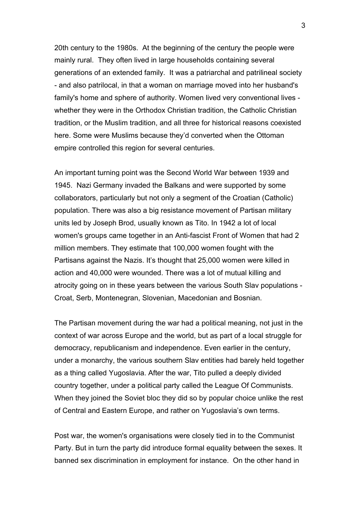20th century to the 1980s. At the beginning of the century the people were mainly rural. They often lived in large households containing several generations of an extended family. It was a patriarchal and patrilineal society - and also patrilocal, in that a woman on marriage moved into her husband's family's home and sphere of authority. Women lived very conventional lives whether they were in the Orthodox Christian tradition, the Catholic Christian tradition, or the Muslim tradition, and all three for historical reasons coexisted here. Some were Muslims because they'd converted when the Ottoman empire controlled this region for several centuries.

An important turning point was the Second World War between 1939 and 1945. Nazi Germany invaded the Balkans and were supported by some collaborators, particularly but not only a segment of the Croatian (Catholic) population. There was also a big resistance movement of Partisan military units led by Joseph Brod, usually known as Tito. In 1942 a lot of local women's groups came together in an Anti-fascist Front of Women that had 2 million members. They estimate that 100,000 women fought with the Partisans against the Nazis. It's thought that 25,000 women were killed in action and 40,000 were wounded. There was a lot of mutual killing and atrocity going on in these years between the various South Slav populations - Croat, Serb, Montenegran, Slovenian, Macedonian and Bosnian.

The Partisan movement during the war had a political meaning, not just in the context of war across Europe and the world, but as part of a local struggle for democracy, republicanism and independence. Even earlier in the century, under a monarchy, the various southern Slav entities had barely held together as a thing called Yugoslavia. After the war, Tito pulled a deeply divided country together, under a political party called the League Of Communists. When they joined the Soviet bloc they did so by popular choice unlike the rest of Central and Eastern Europe, and rather on Yugoslavia's own terms.

Post war, the women's organisations were closely tied in to the Communist Party. But in turn the party did introduce formal equality between the sexes. It banned sex discrimination in employment for instance. On the other hand in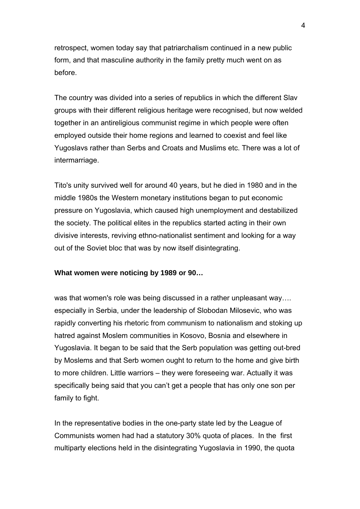retrospect, women today say that patriarchalism continued in a new public form, and that masculine authority in the family pretty much went on as before.

The country was divided into a series of republics in which the different Slav groups with their different religious heritage were recognised, but now welded together in an antireligious communist regime in which people were often employed outside their home regions and learned to coexist and feel like Yugoslavs rather than Serbs and Croats and Muslims etc. There was a lot of intermarriage.

Tito's unity survived well for around 40 years, but he died in 1980 and in the middle 1980s the Western monetary institutions began to put economic pressure on Yugoslavia, which caused high unemployment and destabilized the society. The political elites in the republics started acting in their own divisive interests, reviving ethno-nationalist sentiment and looking for a way out of the Soviet bloc that was by now itself disintegrating.

#### **What women were noticing by 1989 or 90…**

was that women's role was being discussed in a rather unpleasant way.... especially in Serbia, under the leadership of Slobodan Milosevic, who was rapidly converting his rhetoric from communism to nationalism and stoking up hatred against Moslem communities in Kosovo, Bosnia and elsewhere in Yugoslavia. It began to be said that the Serb population was getting out-bred by Moslems and that Serb women ought to return to the home and give birth to more children. Little warriors – they were foreseeing war. Actually it was specifically being said that you can't get a people that has only one son per family to fight.

In the representative bodies in the one-party state led by the League of Communists women had had a statutory 30% quota of places. In the first multiparty elections held in the disintegrating Yugoslavia in 1990, the quota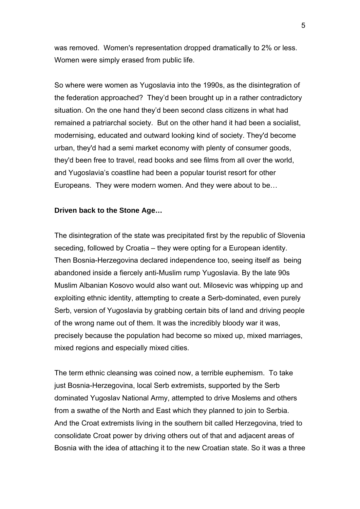was removed. Women's representation dropped dramatically to 2% or less. Women were simply erased from public life.

So where were women as Yugoslavia into the 1990s, as the disintegration of the federation approached? They'd been brought up in a rather contradictory situation. On the one hand they'd been second class citizens in what had remained a patriarchal society. But on the other hand it had been a socialist, modernising, educated and outward looking kind of society. They'd become urban, they'd had a semi market economy with plenty of consumer goods, they'd been free to travel, read books and see films from all over the world, and Yugoslavia's coastline had been a popular tourist resort for other Europeans. They were modern women. And they were about to be…

#### **Driven back to the Stone Age…**

The disintegration of the state was precipitated first by the republic of Slovenia seceding, followed by Croatia – they were opting for a European identity. Then Bosnia-Herzegovina declared independence too, seeing itself as being abandoned inside a fiercely anti-Muslim rump Yugoslavia. By the late 90s Muslim Albanian Kosovo would also want out. Milosevic was whipping up and exploiting ethnic identity, attempting to create a Serb-dominated, even purely Serb, version of Yugoslavia by grabbing certain bits of land and driving people of the wrong name out of them. It was the incredibly bloody war it was, precisely because the population had become so mixed up, mixed marriages, mixed regions and especially mixed cities.

The term ethnic cleansing was coined now, a terrible euphemism. To take just Bosnia-Herzegovina, local Serb extremists, supported by the Serb dominated Yugoslav National Army, attempted to drive Moslems and others from a swathe of the North and East which they planned to join to Serbia. And the Croat extremists living in the southern bit called Herzegovina, tried to consolidate Croat power by driving others out of that and adjacent areas of Bosnia with the idea of attaching it to the new Croatian state. So it was a three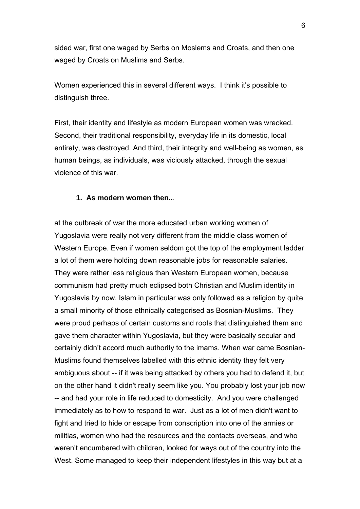sided war, first one waged by Serbs on Moslems and Croats, and then one waged by Croats on Muslims and Serbs.

Women experienced this in several different ways. I think it's possible to distinguish three.

First, their identity and lifestyle as modern European women was wrecked. Second, their traditional responsibility, everyday life in its domestic, local entirety, was destroyed. And third, their integrity and well-being as women, as human beings, as individuals, was viciously attacked, through the sexual violence of this war.

#### **1. As modern women then..**.

at the outbreak of war the more educated urban working women of Yugoslavia were really not very different from the middle class women of Western Europe. Even if women seldom got the top of the employment ladder a lot of them were holding down reasonable jobs for reasonable salaries. They were rather less religious than Western European women, because communism had pretty much eclipsed both Christian and Muslim identity in Yugoslavia by now. Islam in particular was only followed as a religion by quite a small minority of those ethnically categorised as Bosnian-Muslims. They were proud perhaps of certain customs and roots that distinguished them and gave them character within Yugoslavia, but they were basically secular and certainly didn't accord much authority to the imams. When war came Bosnian-Muslims found themselves labelled with this ethnic identity they felt very ambiguous about -- if it was being attacked by others you had to defend it, but on the other hand it didn't really seem like you. You probably lost your job now -- and had your role in life reduced to domesticity. And you were challenged immediately as to how to respond to war. Just as a lot of men didn't want to fight and tried to hide or escape from conscription into one of the armies or militias, women who had the resources and the contacts overseas, and who weren't encumbered with children, looked for ways out of the country into the West. Some managed to keep their independent lifestyles in this way but at a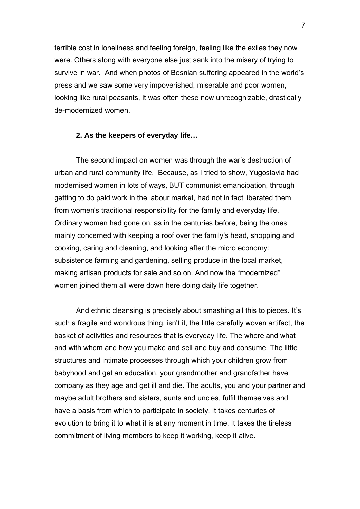terrible cost in loneliness and feeling foreign, feeling like the exiles they now were. Others along with everyone else just sank into the misery of trying to survive in war. And when photos of Bosnian suffering appeared in the world's press and we saw some very impoverished, miserable and poor women, looking like rural peasants, it was often these now unrecognizable, drastically de-modernized women.

#### **2. As the keepers of everyday life…**

The second impact on women was through the war's destruction of urban and rural community life. Because, as I tried to show, Yugoslavia had modernised women in lots of ways, BUT communist emancipation, through getting to do paid work in the labour market, had not in fact liberated them from women's traditional responsibility for the family and everyday life. Ordinary women had gone on, as in the centuries before, being the ones mainly concerned with keeping a roof over the family's head, shopping and cooking, caring and cleaning, and looking after the micro economy: subsistence farming and gardening, selling produce in the local market, making artisan products for sale and so on. And now the "modernized" women joined them all were down here doing daily life together.

And ethnic cleansing is precisely about smashing all this to pieces. It's such a fragile and wondrous thing, isn't it, the little carefully woven artifact, the basket of activities and resources that is everyday life. The where and what and with whom and how you make and sell and buy and consume. The little structures and intimate processes through which your children grow from babyhood and get an education, your grandmother and grandfather have company as they age and get ill and die. The adults, you and your partner and maybe adult brothers and sisters, aunts and uncles, fulfil themselves and have a basis from which to participate in society. It takes centuries of evolution to bring it to what it is at any moment in time. It takes the tireless commitment of living members to keep it working, keep it alive.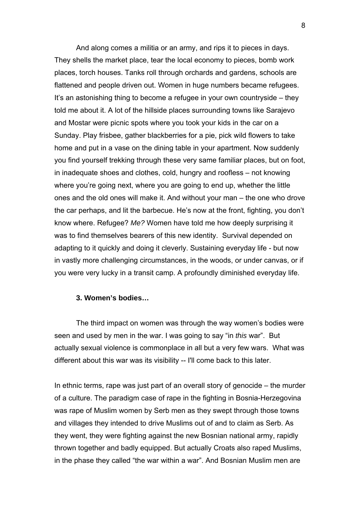And along comes a militia or an army, and rips it to pieces in days. They shells the market place, tear the local economy to pieces, bomb work places, torch houses. Tanks roll through orchards and gardens, schools are flattened and people driven out. Women in huge numbers became refugees. It's an astonishing thing to become a refugee in your own countryside – they told me about it. A lot of the hillside places surrounding towns like Sarajevo and Mostar were picnic spots where you took your kids in the car on a Sunday. Play frisbee, gather blackberries for a pie, pick wild flowers to take home and put in a vase on the dining table in your apartment. Now suddenly you find yourself trekking through these very same familiar places, but on foot, in inadequate shoes and clothes, cold, hungry and roofless – not knowing where you're going next, where you are going to end up, whether the little ones and the old ones will make it. And without your man – the one who drove the car perhaps, and lit the barbecue. He's now at the front, fighting, you don't know where. Refugee? *Me?* Women have told me how deeply surprising it was to find themselves bearers of this new identity. Survival depended on adapting to it quickly and doing it cleverly. Sustaining everyday life - but now in vastly more challenging circumstances, in the woods, or under canvas, or if you were very lucky in a transit camp. A profoundly diminished everyday life.

#### **3. Women's bodies…**

The third impact on women was through the way women's bodies were seen and used by men in the war. I was going to say "in *this* war". But actually sexual violence is commonplace in all but a very few wars. What was different about this war was its visibility -- I'll come back to this later.

In ethnic terms, rape was just part of an overall story of genocide – the murder of a culture. The paradigm case of rape in the fighting in Bosnia-Herzegovina was rape of Muslim women by Serb men as they swept through those towns and villages they intended to drive Muslims out of and to claim as Serb. As they went, they were fighting against the new Bosnian national army, rapidly thrown together and badly equipped. But actually Croats also raped Muslims, in the phase they called "the war within a war". And Bosnian Muslim men are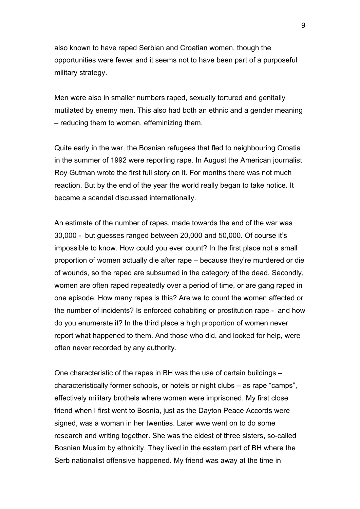also known to have raped Serbian and Croatian women, though the opportunities were fewer and it seems not to have been part of a purposeful military strategy.

Men were also in smaller numbers raped, sexually tortured and genitally mutilated by enemy men. This also had both an ethnic and a gender meaning – reducing them to women, effeminizing them.

Quite early in the war, the Bosnian refugees that fled to neighbouring Croatia in the summer of 1992 were reporting rape. In August the American journalist Roy Gutman wrote the first full story on it. For months there was not much reaction. But by the end of the year the world really began to take notice. It became a scandal discussed internationally.

An estimate of the number of rapes, made towards the end of the war was 30,000 - but guesses ranged between 20,000 and 50,000. Of course it's impossible to know. How could you ever count? In the first place not a small proportion of women actually die after rape – because they're murdered or die of wounds, so the raped are subsumed in the category of the dead. Secondly, women are often raped repeatedly over a period of time, or are gang raped in one episode. How many rapes is this? Are we to count the women affected or the number of incidents? Is enforced cohabiting or prostitution rape - and how do you enumerate it? In the third place a high proportion of women never report what happened to them. And those who did, and looked for help, were often never recorded by any authority.

One characteristic of the rapes in BH was the use of certain buildings – characteristically former schools, or hotels or night clubs – as rape "camps", effectively military brothels where women were imprisoned. My first close friend when I first went to Bosnia, just as the Dayton Peace Accords were signed, was a woman in her twenties. Later wwe went on to do some research and writing together. She was the eldest of three sisters, so-called Bosnian Muslim by ethnicity. They lived in the eastern part of BH where the Serb nationalist offensive happened. My friend was away at the time in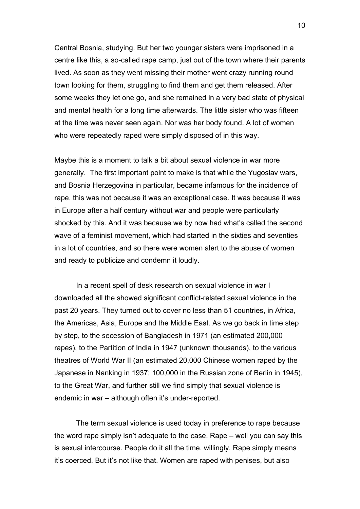Central Bosnia, studying. But her two younger sisters were imprisoned in a centre like this, a so-called rape camp, just out of the town where their parents lived. As soon as they went missing their mother went crazy running round town looking for them, struggling to find them and get them released. After some weeks they let one go, and she remained in a very bad state of physical and mental health for a long time afterwards. The little sister who was fifteen at the time was never seen again. Nor was her body found. A lot of women who were repeatedly raped were simply disposed of in this way.

Maybe this is a moment to talk a bit about sexual violence in war more generally. The first important point to make is that while the Yugoslav wars, and Bosnia Herzegovina in particular, became infamous for the incidence of rape, this was not because it was an exceptional case. It was because it was in Europe after a half century without war and people were particularly shocked by this. And it was because we by now had what's called the second wave of a feminist movement, which had started in the sixties and seventies in a lot of countries, and so there were women alert to the abuse of women and ready to publicize and condemn it loudly.

In a recent spell of desk research on sexual violence in war I downloaded all the showed significant conflict-related sexual violence in the past 20 years. They turned out to cover no less than 51 countries, in Africa, the Americas, Asia, Europe and the Middle East. As we go back in time step by step, to the secession of Bangladesh in 1971 (an estimated 200,000 rapes), to the Partition of India in 1947 (unknown thousands), to the various theatres of World War II (an estimated 20,000 Chinese women raped by the Japanese in Nanking in 1937; 100,000 in the Russian zone of Berlin in 1945), to the Great War, and further still we find simply that sexual violence is endemic in war – although often it's under-reported.

The term sexual violence is used today in preference to rape because the word rape simply isn't adequate to the case. Rape – well you can say this is sexual intercourse. People do it all the time, willingly. Rape simply means it's coerced. But it's not like that. Women are raped with penises, but also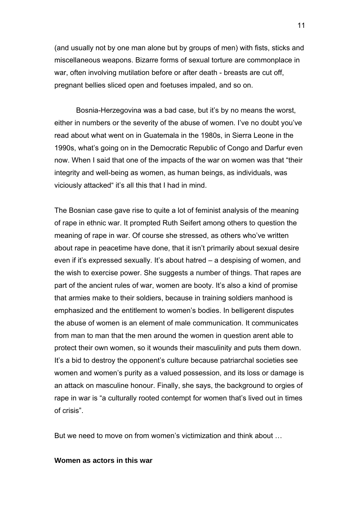(and usually not by one man alone but by groups of men) with fists, sticks and miscellaneous weapons. Bizarre forms of sexual torture are commonplace in war, often involving mutilation before or after death - breasts are cut off, pregnant bellies sliced open and foetuses impaled, and so on.

Bosnia-Herzegovina was a bad case, but it's by no means the worst, either in numbers or the severity of the abuse of women. I've no doubt you've read about what went on in Guatemala in the 1980s, in Sierra Leone in the 1990s, what's going on in the Democratic Republic of Congo and Darfur even now. When I said that one of the impacts of the war on women was that "their integrity and well-being as women, as human beings, as individuals, was viciously attacked" it's all this that I had in mind.

The Bosnian case gave rise to quite a lot of feminist analysis of the meaning of rape in ethnic war. It prompted Ruth Seifert among others to question the meaning of rape in war. Of course she stressed, as others who've written about rape in peacetime have done, that it isn't primarily about sexual desire even if it's expressed sexually. It's about hatred – a despising of women, and the wish to exercise power. She suggests a number of things. That rapes are part of the ancient rules of war, women are booty. It's also a kind of promise that armies make to their soldiers, because in training soldiers manhood is emphasized and the entitlement to women's bodies. In belligerent disputes the abuse of women is an element of male communication. It communicates from man to man that the men around the women in question arent able to protect their own women, so it wounds their masculinity and puts them down. It's a bid to destroy the opponent's culture because patriarchal societies see women and women's purity as a valued possession, and its loss or damage is an attack on masculine honour. Finally, she says, the background to orgies of rape in war is "a culturally rooted contempt for women that's lived out in times of crisis".

But we need to move on from women's victimization and think about …

#### **Women as actors in this war**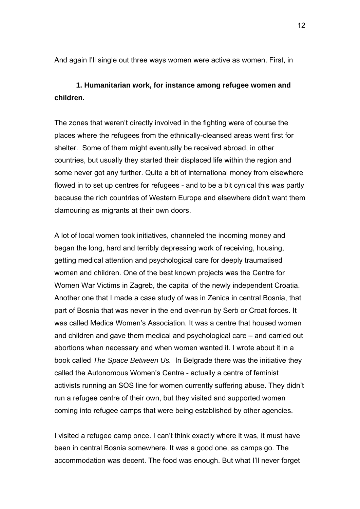And again I'll single out three ways women were active as women. First, in

### **1. Humanitarian work, for instance among refugee women and children.**

The zones that weren't directly involved in the fighting were of course the places where the refugees from the ethnically-cleansed areas went first for shelter. Some of them might eventually be received abroad, in other countries, but usually they started their displaced life within the region and some never got any further. Quite a bit of international money from elsewhere flowed in to set up centres for refugees - and to be a bit cynical this was partly because the rich countries of Western Europe and elsewhere didn't want them clamouring as migrants at their own doors.

A lot of local women took initiatives, channeled the incoming money and began the long, hard and terribly depressing work of receiving, housing, getting medical attention and psychological care for deeply traumatised women and children. One of the best known projects was the Centre for Women War Victims in Zagreb, the capital of the newly independent Croatia. Another one that I made a case study of was in Zenica in central Bosnia, that part of Bosnia that was never in the end over-run by Serb or Croat forces. It was called Medica Women's Association. It was a centre that housed women and children and gave them medical and psychological care – and carried out abortions when necessary and when women wanted it. I wrote about it in a book called *The Space Between Us.* In Belgrade there was the initiative they called the Autonomous Women's Centre - actually a centre of feminist activists running an SOS line for women currently suffering abuse. They didn't run a refugee centre of their own, but they visited and supported women coming into refugee camps that were being established by other agencies.

I visited a refugee camp once. I can't think exactly where it was, it must have been in central Bosnia somewhere. It was a good one, as camps go. The accommodation was decent. The food was enough. But what I'll never forget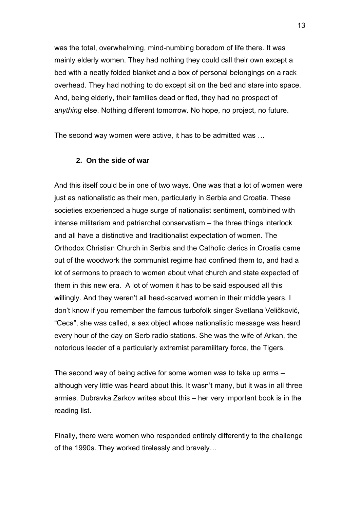was the total, overwhelming, mind-numbing boredom of life there. It was mainly elderly women. They had nothing they could call their own except a bed with a neatly folded blanket and a box of personal belongings on a rack overhead. They had nothing to do except sit on the bed and stare into space. And, being elderly, their families dead or fled, they had no prospect of *anything* else. Nothing different tomorrow. No hope, no project, no future.

The second way women were active, it has to be admitted was …

#### **2. On the side of war**

And this itself could be in one of two ways. One was that a lot of women were just as nationalistic as their men, particularly in Serbia and Croatia. These societies experienced a huge surge of nationalist sentiment, combined with intense militarism and patriarchal conservatism – the three things interlock and all have a distinctive and traditionalist expectation of women. The Orthodox Christian Church in Serbia and the Catholic clerics in Croatia came out of the woodwork the communist regime had confined them to, and had a lot of sermons to preach to women about what church and state expected of them in this new era. A lot of women it has to be said espoused all this willingly. And they weren't all head-scarved women in their middle years. I don't know if you remember the famous turbofolk singer Svetlana Veličković, "Ceca", she was called, a sex object whose nationalistic message was heard every hour of the day on Serb radio stations. She was the wife of Arkan, the notorious leader of a particularly extremist paramilitary force, the Tigers.

The second way of being active for some women was to take up arms – although very little was heard about this. It wasn't many, but it was in all three armies. Dubravka Zarkov writes about this – her very important book is in the reading list.

Finally, there were women who responded entirely differently to the challenge of the 1990s. They worked tirelessly and bravely…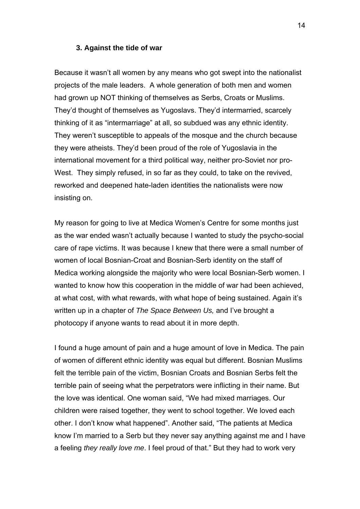#### **3. Against the tide of war**

Because it wasn't all women by any means who got swept into the nationalist projects of the male leaders. A whole generation of both men and women had grown up NOT thinking of themselves as Serbs, Croats or Muslims. They'd thought of themselves as Yugoslavs. They'd intermarried, scarcely thinking of it as "intermarriage" at all, so subdued was any ethnic identity. They weren't susceptible to appeals of the mosque and the church because they were atheists. They'd been proud of the role of Yugoslavia in the international movement for a third political way, neither pro-Soviet nor pro-West. They simply refused, in so far as they could, to take on the revived, reworked and deepened hate-laden identities the nationalists were now insisting on.

My reason for going to live at Medica Women's Centre for some months just as the war ended wasn't actually because I wanted to study the psycho-social care of rape victims. It was because I knew that there were a small number of women of local Bosnian-Croat and Bosnian-Serb identity on the staff of Medica working alongside the majority who were local Bosnian-Serb women. I wanted to know how this cooperation in the middle of war had been achieved, at what cost, with what rewards, with what hope of being sustained. Again it's written up in a chapter of *The Space Between Us,* and I've brought a photocopy if anyone wants to read about it in more depth.

I found a huge amount of pain and a huge amount of love in Medica. The pain of women of different ethnic identity was equal but different. Bosnian Muslims felt the terrible pain of the victim, Bosnian Croats and Bosnian Serbs felt the terrible pain of seeing what the perpetrators were inflicting in their name. But the love was identical. One woman said, "We had mixed marriages. Our children were raised together, they went to school together. We loved each other. I don't know what happened". Another said, "The patients at Medica know I'm married to a Serb but they never say anything against me and I have a feeling *they really love me*. I feel proud of that." But they had to work very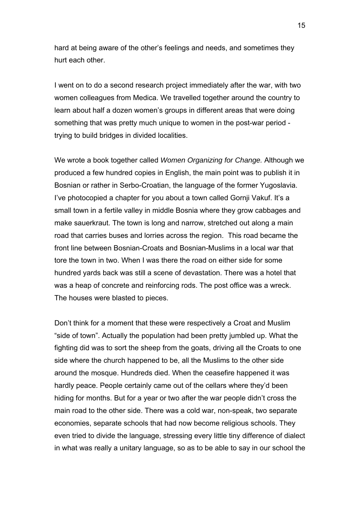hard at being aware of the other's feelings and needs, and sometimes they hurt each other.

I went on to do a second research project immediately after the war, with two women colleagues from Medica. We travelled together around the country to learn about half a dozen women's groups in different areas that were doing something that was pretty much unique to women in the post-war period trying to build bridges in divided localities.

We wrote a book together called *Women Organizing for Change.* Although we produced a few hundred copies in English, the main point was to publish it in Bosnian or rather in Serbo-Croatian, the language of the former Yugoslavia. I've photocopied a chapter for you about a town called Gornji Vakuf. It's a small town in a fertile valley in middle Bosnia where they grow cabbages and make sauerkraut. The town is long and narrow, stretched out along a main road that carries buses and lorries across the region. This road became the front line between Bosnian-Croats and Bosnian-Muslims in a local war that tore the town in two. When I was there the road on either side for some hundred yards back was still a scene of devastation. There was a hotel that was a heap of concrete and reinforcing rods. The post office was a wreck. The houses were blasted to pieces.

Don't think for a moment that these were respectively a Croat and Muslim "side of town". Actually the population had been pretty jumbled up. What the fighting did was to sort the sheep from the goats, driving all the Croats to one side where the church happened to be, all the Muslims to the other side around the mosque. Hundreds died. When the ceasefire happened it was hardly peace. People certainly came out of the cellars where they'd been hiding for months. But for a year or two after the war people didn't cross the main road to the other side. There was a cold war, non-speak, two separate economies, separate schools that had now become religious schools. They even tried to divide the language, stressing every little tiny difference of dialect in what was really a unitary language, so as to be able to say in our school the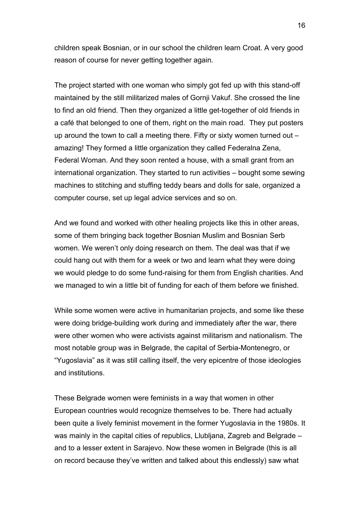children speak Bosnian, or in our school the children learn Croat. A very good reason of course for never getting together again.

The project started with one woman who simply got fed up with this stand-off maintained by the still militarized males of Gornji Vakuf. She crossed the line to find an old friend. Then they organized a little get-together of old friends in a café that belonged to one of them, right on the main road. They put posters up around the town to call a meeting there. Fifty or sixty women turned out – amazing! They formed a little organization they called Federalna Zena, Federal Woman. And they soon rented a house, with a small grant from an international organization. They started to run activities – bought some sewing machines to stitching and stuffing teddy bears and dolls for sale, organized a computer course, set up legal advice services and so on.

And we found and worked with other healing projects like this in other areas, some of them bringing back together Bosnian Muslim and Bosnian Serb women. We weren't only doing research on them. The deal was that if we could hang out with them for a week or two and learn what they were doing we would pledge to do some fund-raising for them from English charities. And we managed to win a little bit of funding for each of them before we finished.

While some women were active in humanitarian projects, and some like these were doing bridge-building work during and immediately after the war, there were other women who were activists against militarism and nationalism. The most notable group was in Belgrade, the capital of Serbia-Montenegro, or "Yugoslavia" as it was still calling itself, the very epicentre of those ideologies and institutions.

These Belgrade women were feminists in a way that women in other European countries would recognize themselves to be. There had actually been quite a lively feminist movement in the former Yugoslavia in the 1980s. It was mainly in the capital cities of republics, Llubljana, Zagreb and Belgrade – and to a lesser extent in Sarajevo. Now these women in Belgrade (this is all on record because they've written and talked about this endlessly) saw what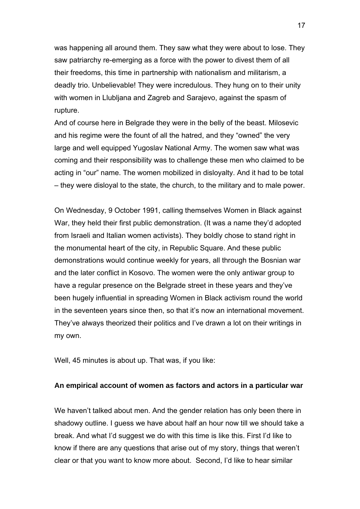was happening all around them. They saw what they were about to lose. They saw patriarchy re-emerging as a force with the power to divest them of all their freedoms, this time in partnership with nationalism and militarism, a deadly trio. Unbelievable! They were incredulous. They hung on to their unity with women in Llubljana and Zagreb and Sarajevo, against the spasm of rupture.

And of course here in Belgrade they were in the belly of the beast. Milosevic and his regime were the fount of all the hatred, and they "owned" the very large and well equipped Yugoslav National Army. The women saw what was coming and their responsibility was to challenge these men who claimed to be acting in "our" name. The women mobilized in disloyalty. And it had to be total – they were disloyal to the state, the church, to the military and to male power.

On Wednesday, 9 October 1991, calling themselves Women in Black against War, they held their first public demonstration. (It was a name they'd adopted from Israeli and Italian women activists). They boldly chose to stand right in the monumental heart of the city, in Republic Square. And these public demonstrations would continue weekly for years, all through the Bosnian war and the later conflict in Kosovo. The women were the only antiwar group to have a regular presence on the Belgrade street in these years and they've been hugely influential in spreading Women in Black activism round the world in the seventeen years since then, so that it's now an international movement. They've always theorized their politics and I've drawn a lot on their writings in my own.

Well, 45 minutes is about up. That was, if you like:

#### **An empirical account of women as factors and actors in a particular war**

We haven't talked about men. And the gender relation has only been there in shadowy outline. I guess we have about half an hour now till we should take a break. And what I'd suggest we do with this time is like this. First I'd like to know if there are any questions that arise out of my story, things that weren't clear or that you want to know more about. Second, I'd like to hear similar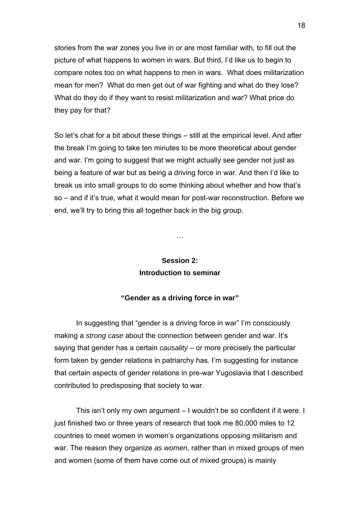stories from the war zones you live in or are most familiar with, to fill out the picture of what happens to women in wars. But third, I'd like us to begin to compare notes too on what happens to men in wars. What does militarization mean for men? What do men get out of war fighting and what do they lose? What do they do if they want to resist militarization and war? What price do they pay for that?

So let's chat for a bit about these things – still at the empirical level. And after the break I'm going to take ten minutes to be more theoretical about gender and war. I'm going to suggest that we might actually see gender not just as being a feature of war but as being a driving force in war. And then I'd like to break us into small groups to do some thinking about whether and how that's so – and if it's true, what it would mean for post-war reconstruction. Before we end, we'll try to bring this all together back in the big group.

## **Session 2: Introduction to seminar**

…

### **"Gender as a driving force in war"**

In suggesting that "gender is a driving force in war" I'm consciously making a *strong case* about the connection between gender and war. It's saying that gender has a certain *causality* – or more precisely the particular form taken by gender relations in patriarchy has. I'm suggesting for instance that certain aspects of gender relations in pre-war Yugoslavia that I described contributed to predisposing that society to war.

This isn't only my own argument – I wouldn't be so confident if it were. I just finished two or three years of research that took me 80,000 miles to 12 countries to meet women in women's organizations opposing militarism and war. The reason they organize *as women*, rather than in mixed groups of men and women (some of them have come out of mixed groups) is mainly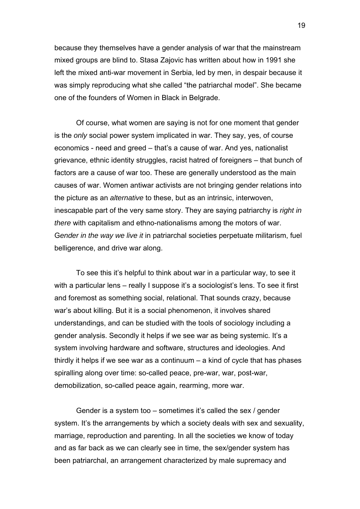because they themselves have a gender analysis of war that the mainstream mixed groups are blind to. Stasa Zajovic has written about how in 1991 she left the mixed anti-war movement in Serbia, led by men, in despair because it was simply reproducing what she called "the patriarchal model". She became one of the founders of Women in Black in Belgrade.

Of course, what women are saying is not for one moment that gender is the *only* social power system implicated in war. They say, yes, of course economics - need and greed – that's a cause of war. And yes, nationalist grievance, ethnic identity struggles, racist hatred of foreigners – that bunch of factors are a cause of war too. These are generally understood as the main causes of war. Women antiwar activists are not bringing gender relations into the picture as an *alternative* to these, but as an intrinsic, interwoven, inescapable part of the very same story. They are saying patriarchy is *right in there* with capitalism and ethno-nationalisms among the motors of war. G*ender in the way we live it* in patriarchal societies perpetuate militarism, fuel belligerence, and drive war along.

To see this it's helpful to think about war in a particular way, to see it with a particular lens – really I suppose it's a sociologist's lens. To see it first and foremost as something social, relational. That sounds crazy, because war's about killing. But it is a social phenomenon, it involves shared understandings, and can be studied with the tools of sociology including a gender analysis. Secondly it helps if we see war as being systemic. It's a system involving hardware and software, structures and ideologies. And thirdly it helps if we see war as a continuum – a kind of cycle that has phases spiralling along over time: so-called peace, pre-war, war, post-war, demobilization, so-called peace again, rearming, more war.

Gender is a system too – sometimes it's called the sex / gender system. It's the arrangements by which a society deals with sex and sexuality, marriage, reproduction and parenting. In all the societies we know of today and as far back as we can clearly see in time, the sex/gender system has been patriarchal, an arrangement characterized by male supremacy and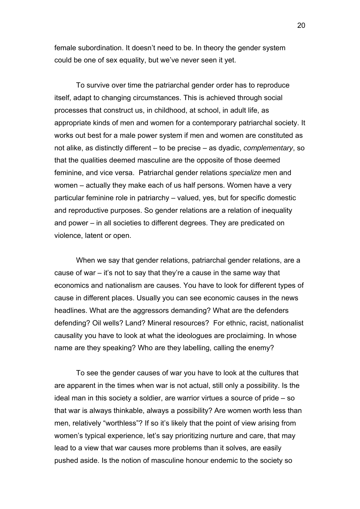female subordination. It doesn't need to be. In theory the gender system could be one of sex equality, but we've never seen it yet.

To survive over time the patriarchal gender order has to reproduce itself, adapt to changing circumstances. This is achieved through social processes that construct us, in childhood, at school, in adult life, as appropriate kinds of men and women for a contemporary patriarchal society. It works out best for a male power system if men and women are constituted as not alike, as distinctly different – to be precise – as dyadic, *complementary*, so that the qualities deemed masculine are the opposite of those deemed feminine, and vice versa. Patriarchal gender relations *specialize* men and women – actually they make each of us half persons. Women have a very particular feminine role in patriarchy – valued, yes, but for specific domestic and reproductive purposes. So gender relations are a relation of inequality and power – in all societies to different degrees. They are predicated on violence, latent or open.

When we say that gender relations, patriarchal gender relations, are a cause of war – it's not to say that they're a cause in the same way that economics and nationalism are causes. You have to look for different types of cause in different places. Usually you can see economic causes in the news headlines. What are the aggressors demanding? What are the defenders defending? Oil wells? Land? Mineral resources? For ethnic, racist, nationalist causality you have to look at what the ideologues are proclaiming. In whose name are they speaking? Who are they labelling, calling the enemy?

To see the gender causes of war you have to look at the cultures that are apparent in the times when war is not actual, still only a possibility. Is the ideal man in this society a soldier, are warrior virtues a source of pride – so that war is always thinkable, always a possibility? Are women worth less than men, relatively "worthless"? If so it's likely that the point of view arising from women's typical experience, let's say prioritizing nurture and care, that may lead to a view that war causes more problems than it solves, are easily pushed aside. Is the notion of masculine honour endemic to the society so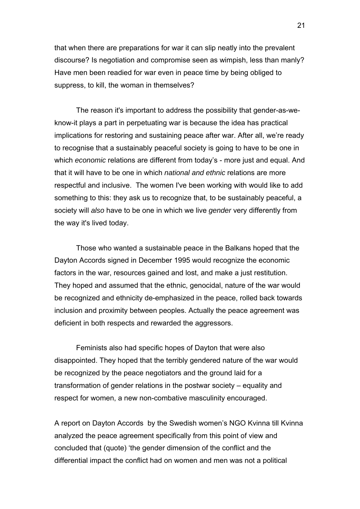that when there are preparations for war it can slip neatly into the prevalent discourse? Is negotiation and compromise seen as wimpish, less than manly? Have men been readied for war even in peace time by being obliged to suppress, to kill, the woman in themselves?

The reason it's important to address the possibility that gender-as-weknow-it plays a part in perpetuating war is because the idea has practical implications for restoring and sustaining peace after war. After all, we're ready to recognise that a sustainably peaceful society is going to have to be one in which *economic* relations are different from today's - more just and equal. And that it will have to be one in which *national and ethnic* relations are more respectful and inclusive. The women I've been working with would like to add something to this: they ask us to recognize that, to be sustainably peaceful, a society will *also* have to be one in which we live *gender* very differently from the way it's lived today.

Those who wanted a sustainable peace in the Balkans hoped that the Dayton Accords signed in December 1995 would recognize the economic factors in the war, resources gained and lost, and make a just restitution. They hoped and assumed that the ethnic, genocidal, nature of the war would be recognized and ethnicity de-emphasized in the peace, rolled back towards inclusion and proximity between peoples. Actually the peace agreement was deficient in both respects and rewarded the aggressors.

Feminists also had specific hopes of Dayton that were also disappointed. They hoped that the terribly gendered nature of the war would be recognized by the peace negotiators and the ground laid for a transformation of gender relations in the postwar society – equality and respect for women, a new non-combative masculinity encouraged.

A report on Dayton Accords by the Swedish women's NGO Kvinna till Kvinna analyzed the peace agreement specifically from this point of view and concluded that (quote) 'the gender dimension of the conflict and the differential impact the conflict had on women and men was not a political